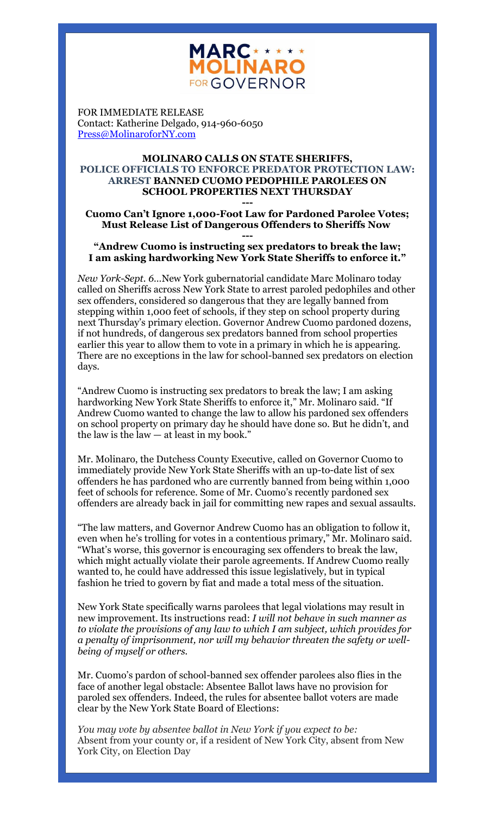

FOR IMMEDIATE RELEASE Contact: Katherine Delgado, 914-960-6050 [Press@MolinaroforNY.com](mailto:Press@MolinaroforNY.com)

## **MOLINARO CALLS ON STATE SHERIFFS, POLICE OFFICIALS TO ENFORCE PREDATOR PROTECTION LAW: ARREST BANNED CUOMO PEDOPHILE PAROLEES ON SCHOOL PROPERTIES NEXT THURSDAY**

## **--- Cuomo Can't Ignore 1,000-Foot Law for Pardoned Parolee Votes; Must Release List of Dangerous Offenders to Sheriffs Now**

## **--- "Andrew Cuomo is instructing sex predators to break the law; I am asking hardworking New York State Sheriffs to enforce it."**

*New York-Sept. 6…*New York gubernatorial candidate Marc Molinaro today called on Sheriffs across New York State to arrest paroled pedophiles and other sex offenders, considered so dangerous that they are legally banned from stepping within 1,000 feet of schools, if they step on school property during next Thursday's primary election. Governor Andrew Cuomo pardoned dozens, if not hundreds, of dangerous sex predators banned from school properties earlier this year to allow them to vote in a primary in which he is appearing. There are no exceptions in the law for school-banned sex predators on election days.

"Andrew Cuomo is instructing sex predators to break the law; I am asking hardworking New York State Sheriffs to enforce it," Mr. Molinaro said. "If Andrew Cuomo wanted to change the law to allow his pardoned sex offenders on school property on primary day he should have done so. But he didn't, and the law is the law  $-$  at least in my book."

Mr. Molinaro, the Dutchess County Executive, called on Governor Cuomo to immediately provide New York State Sheriffs with an up-to-date list of sex offenders he has pardoned who are currently banned from being within 1,000 feet of schools for reference. Some of Mr. Cuomo's recently pardoned sex offenders are already back in jail for committing new rapes and sexual assaults.

"The law matters, and Governor Andrew Cuomo has an obligation to follow it, even when he's trolling for votes in a contentious primary," Mr. Molinaro said. "What's worse, this governor is encouraging sex offenders to break the law, which might actually violate their parole agreements. If Andrew Cuomo really wanted to, he could have addressed this issue legislatively, but in typical fashion he tried to govern by fiat and made a total mess of the situation.

New York State specifically warns parolees that legal violations may result in new improvement. Its instructions read: *I will not behave in such manner as to violate the provisions of any law to which I am subject, which provides for a penalty of imprisonment, nor will my behavior threaten the safety or wellbeing of myself or others.*

Mr. Cuomo's pardon of school-banned sex offender parolees also flies in the face of another legal obstacle: Absentee Ballot laws have no provision for paroled sex offenders. Indeed, the rules for absentee ballot voters are made clear by the New York State Board of Elections:

*You may vote by absentee ballot in New York if you expect to be:* Absent from your county or, if a resident of New York City, absent from New York City, on Election Day